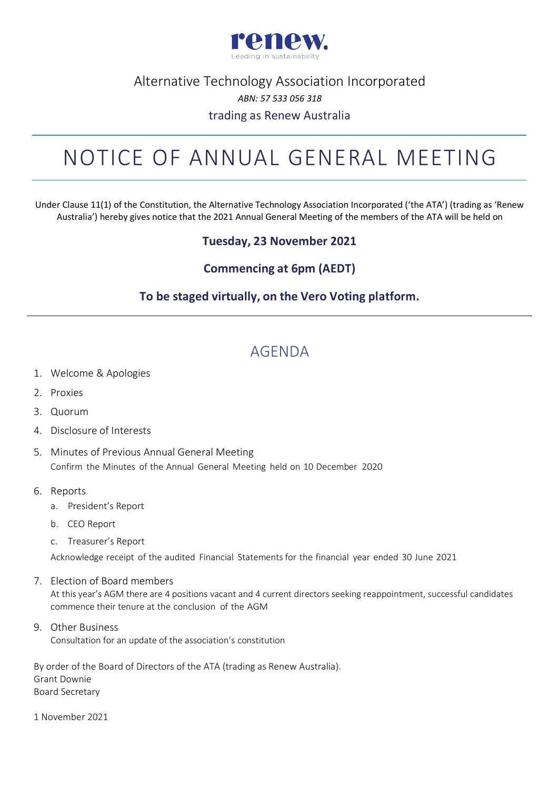

#### Alternative Technology Association Incorporated *ABN: 57 533 056 318* trading as Renew Australia

## NOTICE OF ANNUAL GENERAL MEETING

Under Clause 11(1) of the Constitution, the Alternative Technology Association Incorporated ('the ATA') (trading as 'Renew Australia') hereby gives notice that the 2021 Annual General Meeting of the members of the ATA will be held on

#### **Tuesday, 23 November 2021**

#### **Commencing at 6pm (AEDT)**

#### **To be staged virtually, on the Vero Voting platform.**

### AGENDA

- 1. Welcome & Apologies
- 2. Proxies
- 3. Quorum
- 4. Disclosure of Interests
- 5. Minutes of Previous Annual General Meeting Confirm the Minutes of the Annual General Meeting held on 10 December 2020
- 6. Reports
	- a. President's Report
	- b. CEO Report
	- c. Treasurer's Report

Acknowledge receipt of the audited Financial Statements for the financial year ended 30 June 2021

- 7. Election of Board members At this year's AGM there are 4 positions vacant and 4 current directors seeking reappointment, successful candidates commence their tenure at the conclusion of the AGM
- 9. Other Business Consultation for an update of the association's constitution

By order of the Board of Directors of the ATA (trading as Renew Australia). Grant Downie Board Secretary

1 November 2021